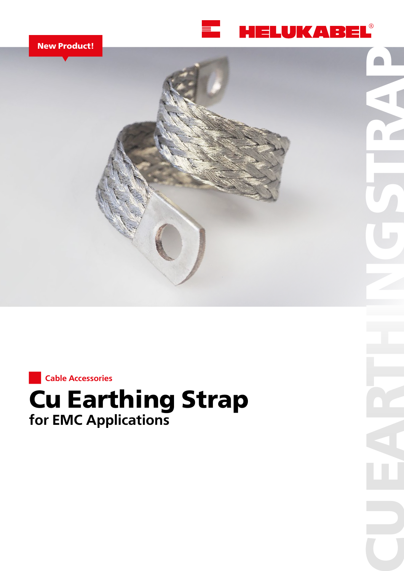

**CUEARTHINGSTRAP CUEARTHINGSTRAP**